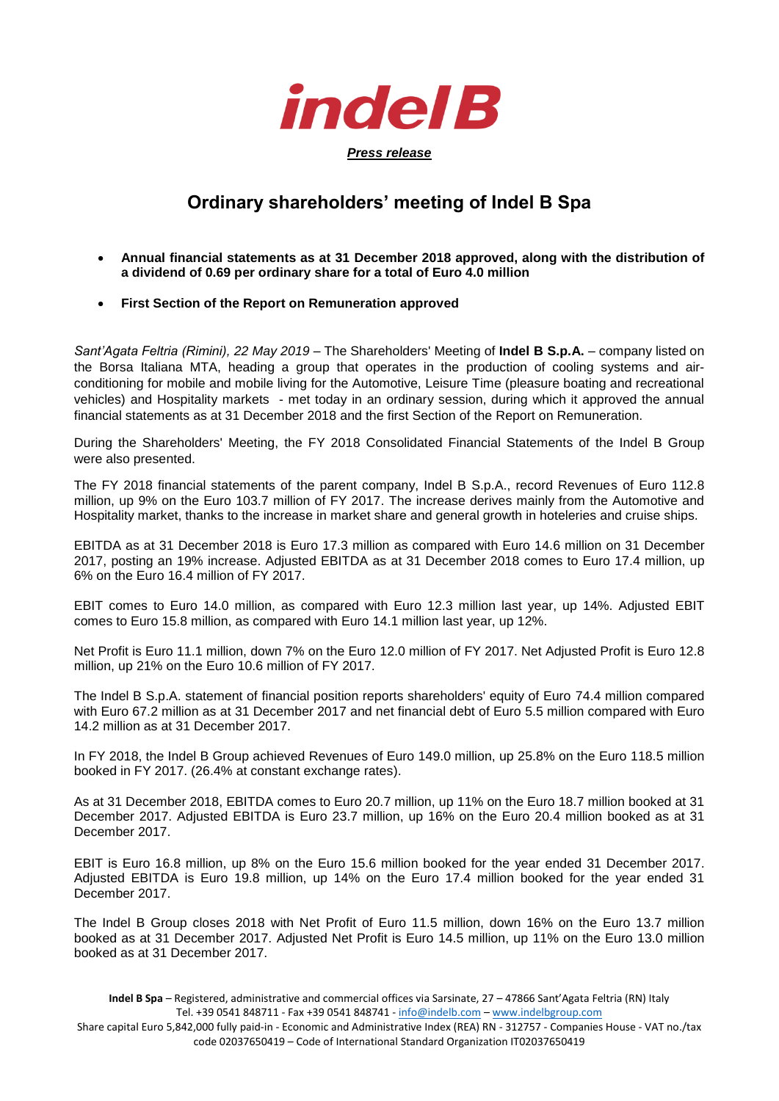

## **Ordinary shareholders' meeting of Indel B Spa**

- **Annual financial statements as at 31 December 2018 approved, along with the distribution of a dividend of 0.69 per ordinary share for a total of Euro 4.0 million**
- **First Section of the Report on Remuneration approved**

*Sant'Agata Feltria (Rimini), 22 May 2019* – The Shareholders' Meeting of **Indel B S.p.A.** – company listed on the Borsa Italiana MTA, heading a group that operates in the production of cooling systems and airconditioning for mobile and mobile living for the Automotive, Leisure Time (pleasure boating and recreational vehicles) and Hospitality markets - met today in an ordinary session, during which it approved the annual financial statements as at 31 December 2018 and the first Section of the Report on Remuneration.

During the Shareholders' Meeting, the FY 2018 Consolidated Financial Statements of the Indel B Group were also presented.

The FY 2018 financial statements of the parent company, Indel B S.p.A., record Revenues of Euro 112.8 million, up 9% on the Euro 103.7 million of FY 2017. The increase derives mainly from the Automotive and Hospitality market, thanks to the increase in market share and general growth in hoteleries and cruise ships.

EBITDA as at 31 December 2018 is Euro 17.3 million as compared with Euro 14.6 million on 31 December 2017, posting an 19% increase. Adjusted EBITDA as at 31 December 2018 comes to Euro 17.4 million, up 6% on the Euro 16.4 million of FY 2017.

EBIT comes to Euro 14.0 million, as compared with Euro 12.3 million last year, up 14%. Adjusted EBIT comes to Euro 15.8 million, as compared with Euro 14.1 million last year, up 12%.

Net Profit is Euro 11.1 million, down 7% on the Euro 12.0 million of FY 2017. Net Adjusted Profit is Euro 12.8 million, up 21% on the Euro 10.6 million of FY 2017.

The Indel B S.p.A. statement of financial position reports shareholders' equity of Euro 74.4 million compared with Euro 67.2 million as at 31 December 2017 and net financial debt of Euro 5.5 million compared with Euro 14.2 million as at 31 December 2017.

In FY 2018, the Indel B Group achieved Revenues of Euro 149.0 million, up 25.8% on the Euro 118.5 million booked in FY 2017. (26.4% at constant exchange rates).

As at 31 December 2018, EBITDA comes to Euro 20.7 million, up 11% on the Euro 18.7 million booked at 31 December 2017. Adjusted EBITDA is Euro 23.7 million, up 16% on the Euro 20.4 million booked as at 31 December 2017.

EBIT is Euro 16.8 million, up 8% on the Euro 15.6 million booked for the year ended 31 December 2017. Adjusted EBITDA is Euro 19.8 million, up 14% on the Euro 17.4 million booked for the year ended 31 December 2017.

The Indel B Group closes 2018 with Net Profit of Euro 11.5 million, down 16% on the Euro 13.7 million booked as at 31 December 2017. Adjusted Net Profit is Euro 14.5 million, up 11% on the Euro 13.0 million booked as at 31 December 2017.

Share capital Euro 5,842,000 fully paid-in - Economic and Administrative Index (REA) RN - 312757 - Companies House - VAT no./tax code 02037650419 – Code of International Standard Organization IT02037650419

**Indel B Spa** – Registered, administrative and commercial offices via Sarsinate, 27 – 47866 Sant'Agata Feltria (RN) Italy Tel. +39 0541 848711 - Fax +39 0541 848741 - [info@indelb.com](mailto:info@indelb.com) – [www.indelbgroup.com](http://www.indelbgroup.com/)